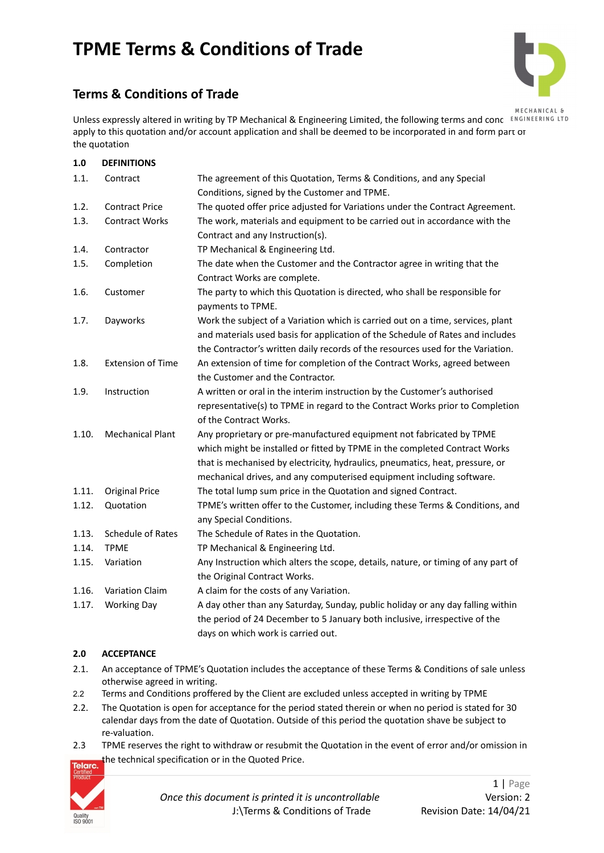# **Terms & Conditions of Trade**



Unless expressly altered in writing by TP Mechanical & Engineering Limited, the following terms and concert RIGINEERING LTD apply to this quotation and/or account application and shall be deemed to be incorporated in and form part of the quotation

| 1.0   | <b>DEFINITIONS</b>       |                                                                                                                                                                                                                                                                                                              |
|-------|--------------------------|--------------------------------------------------------------------------------------------------------------------------------------------------------------------------------------------------------------------------------------------------------------------------------------------------------------|
| 1.1.  | Contract                 | The agreement of this Quotation, Terms & Conditions, and any Special<br>Conditions, signed by the Customer and TPME.                                                                                                                                                                                         |
| 1.2.  | <b>Contract Price</b>    | The quoted offer price adjusted for Variations under the Contract Agreement.                                                                                                                                                                                                                                 |
| 1.3.  | <b>Contract Works</b>    | The work, materials and equipment to be carried out in accordance with the<br>Contract and any Instruction(s).                                                                                                                                                                                               |
| 1.4.  | Contractor               | TP Mechanical & Engineering Ltd.                                                                                                                                                                                                                                                                             |
| 1.5.  | Completion               | The date when the Customer and the Contractor agree in writing that the<br>Contract Works are complete.                                                                                                                                                                                                      |
| 1.6.  | Customer                 | The party to which this Quotation is directed, who shall be responsible for<br>payments to TPME.                                                                                                                                                                                                             |
| 1.7.  | Dayworks                 | Work the subject of a Variation which is carried out on a time, services, plant<br>and materials used basis for application of the Schedule of Rates and includes<br>the Contractor's written daily records of the resources used for the Variation.                                                         |
| 1.8.  | <b>Extension of Time</b> | An extension of time for completion of the Contract Works, agreed between<br>the Customer and the Contractor.                                                                                                                                                                                                |
| 1.9.  | Instruction              | A written or oral in the interim instruction by the Customer's authorised<br>representative(s) to TPME in regard to the Contract Works prior to Completion<br>of the Contract Works.                                                                                                                         |
| 1.10. | <b>Mechanical Plant</b>  | Any proprietary or pre-manufactured equipment not fabricated by TPME<br>which might be installed or fitted by TPME in the completed Contract Works<br>that is mechanised by electricity, hydraulics, pneumatics, heat, pressure, or<br>mechanical drives, and any computerised equipment including software. |
| 1.11. | <b>Original Price</b>    | The total lump sum price in the Quotation and signed Contract.                                                                                                                                                                                                                                               |
| 1.12. | Quotation                | TPME's written offer to the Customer, including these Terms & Conditions, and<br>any Special Conditions.                                                                                                                                                                                                     |
| 1.13. | Schedule of Rates        | The Schedule of Rates in the Quotation.                                                                                                                                                                                                                                                                      |
| 1.14. | <b>TPME</b>              | TP Mechanical & Engineering Ltd.                                                                                                                                                                                                                                                                             |
| 1.15. | Variation                | Any Instruction which alters the scope, details, nature, or timing of any part of                                                                                                                                                                                                                            |
|       |                          | the Original Contract Works.                                                                                                                                                                                                                                                                                 |
| 1.16. | Variation Claim          | A claim for the costs of any Variation.                                                                                                                                                                                                                                                                      |
| 1.17. | <b>Working Day</b>       | A day other than any Saturday, Sunday, public holiday or any day falling within                                                                                                                                                                                                                              |
|       |                          | the period of 24 December to 5 January both inclusive, irrespective of the                                                                                                                                                                                                                                   |
|       |                          | days on which work is carried out.                                                                                                                                                                                                                                                                           |

# **2.0 ACCEPTANCE**

- 2.1. An acceptance of TPME's Quotation includes the acceptance of these Terms & Conditions of sale unless otherwise agreed in writing.
- 2.2 Terms and Conditions proffered by the Client are excluded unless accepted in writing by TPME
- 2.2. The Quotation is open for acceptance for the period stated therein or when no period is stated for 30 calendar days from the date of Quotation. Outside of this period the quotation shave be subject to re-valuation.
- 2.3 TPME reserves the right to withdraw or resubmit the Quotation in the event of error and/or omission in the technical specification or in the Quoted Price.

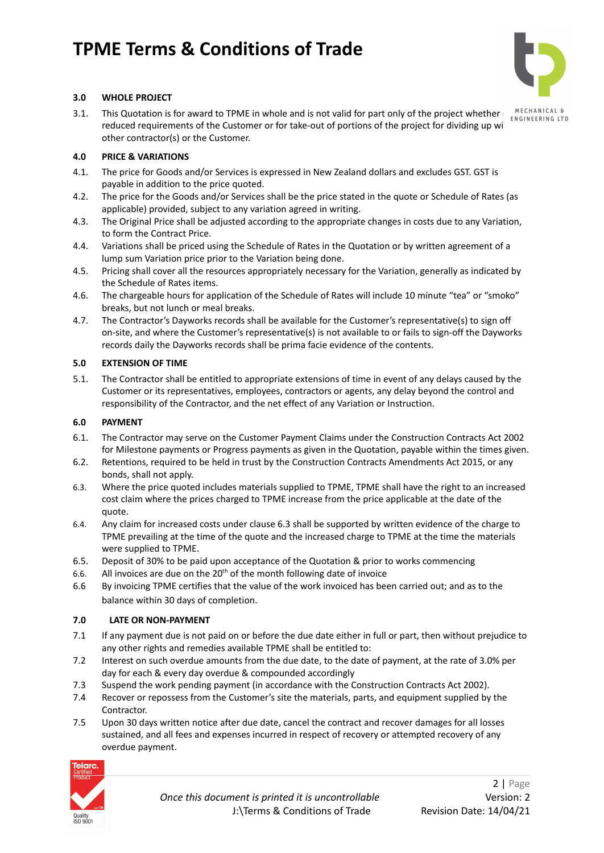

# **3.0 WHOLE PROJECT**

3.1. This Quotation is for award to TPME in whole and is not valid for part only of the project whether **ENGINEERING LTD** reduced requirements of the Customer or for take-out of portions of the project for dividing up wi other contractor(s) or the Customer.

### **4.0 PRICE & VARIATIONS**

- 4.1. The price for Goods and/or Services is expressed in New Zealand dollars and excludes GST. GST is payable in addition to the price quoted.
- 4.2. The price for the Goods and/or Services shall be the price stated in the quote or Schedule of Rates (as applicable) provided, subject to any variation agreed in writing.
- 4.3. The Original Price shall be adjusted according to the appropriate changes in costs due to any Variation, to form the Contract Price.
- 4.4. Variations shall be priced using the Schedule of Rates in the Quotation or by written agreement of a lump sum Variation price prior to the Variation being done.
- 4.5. Pricing shall cover all the resources appropriately necessary for the Variation, generally as indicated by the Schedule of Rates items.
- 4.6. The chargeable hours for application of the Schedule of Rates will include 10 minute "tea" or "smoko" breaks, but not lunch or meal breaks.
- 4.7. The Contractor's Dayworks records shall be available for the Customer's representative(s) to sign off on-site, and where the Customer's representative(s) is not available to or fails to sign-off the Dayworks records daily the Dayworks records shall be prima facie evidence of the contents.

### **5.0 EXTENSION OF TIME**

5.1. The Contractor shall be entitled to appropriate extensions of time in event of any delays caused by the Customer or its representatives, employees, contractors or agents, any delay beyond the control and responsibility of the Contractor, and the net effect of any Variation or Instruction.

# **6.0 PAYMENT**

- 6.1. The Contractor may serve on the Customer Payment Claims under the Construction Contracts Act 2002 for Milestone payments or Progress payments as given in the Quotation, payable within the times given.
- 6.2. Retentions, required to be held in trust by the Construction Contracts Amendments Act 2015, or any bonds, shall not apply.
- 6.3. Where the price quoted includes materials supplied to TPME, TPME shall have the right to an increased cost claim where the prices charged to TPME increase from the price applicable at the date of the quote.
- 6.4. Any claim for increased costs under clause 6.3 shall be supported by written evidence of the charge to TPME prevailing at the time of the quote and the increased charge to TPME at the time the materials were supplied to TPME.
- 6.5. Deposit of 30% to be paid upon acceptance of the Quotation & prior to works commencing
- 6.6. All invoices are due on the  $20<sup>th</sup>$  of the month following date of invoice
- 6.6 By invoicing TPME certifies that the value of the work invoiced has been carried out; and as to the balance within 30 days of completion.

### **7.0 LATE OR NON-PAYMENT**

- 7.1 If any payment due is not paid on or before the due date either in full or part, then without prejudice to any other rights and remedies available TPME shall be entitled to:
- 7.2 Interest on such overdue amounts from the due date, to the date of payment, at the rate of 3.0% per day for each & every day overdue & compounded accordingly
- 7.3 Suspend the work pending payment (in accordance with the Construction Contracts Act 2002).
- 7.4 Recover or repossess from the Customer's site the materials, parts, and equipment supplied by the Contractor.
- 7.5 Upon 30 days written notice after due date, cancel the contract and recover damages for all losses sustained, and all fees and expenses incurred in respect of recovery or attempted recovery of any overdue payment.

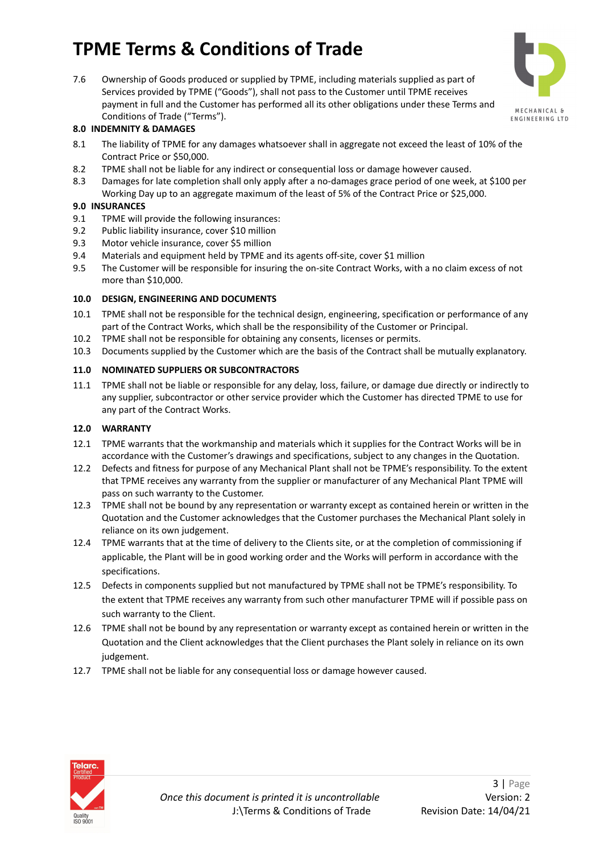7.6 Ownership of Goods produced or supplied by TPME, including materials supplied as part of Services provided by TPME ("Goods"), shall not pass to the Customer until TPME receives payment in full and the Customer has performed all its other obligations under these Terms and Conditions of Trade ("Terms").



# **8.0 INDEMNITY & DAMAGES**

- 8.1 The liability of TPME for any damages whatsoever shall in aggregate not exceed the least of 10% of the Contract Price or \$50,000.
- 8.2 TPME shall not be liable for any indirect or consequential loss or damage however caused.
- 8.3 Damages for late completion shall only apply after a no-damages grace period of one week, at \$100 per Working Day up to an aggregate maximum of the least of 5% of the Contract Price or \$25,000.

#### **9.0 INSURANCES**

- 9.1 TPME will provide the following insurances:
- 9.2 Public liability insurance, cover \$10 million
- 9.3 Motor vehicle insurance, cover \$5 million
- 9.4 Materials and equipment held by TPME and its agents off-site, cover \$1 million
- 9.5 The Customer will be responsible for insuring the on-site Contract Works, with a no claim excess of not more than \$10,000.

#### **10.0 DESIGN, ENGINEERING AND DOCUMENTS**

- 10.1 TPME shall not be responsible for the technical design, engineering, specification or performance of any part of the Contract Works, which shall be the responsibility of the Customer or Principal.
- 10.2 TPME shall not be responsible for obtaining any consents, licenses or permits.
- 10.3 Documents supplied by the Customer which are the basis of the Contract shall be mutually explanatory.

#### **11.0 NOMINATED SUPPLIERS OR SUBCONTRACTORS**

11.1 TPME shall not be liable or responsible for any delay, loss, failure, or damage due directly or indirectly to any supplier, subcontractor or other service provider which the Customer has directed TPME to use for any part of the Contract Works.

### **12.0 WARRANTY**

- 12.1 TPME warrants that the workmanship and materials which it supplies for the Contract Works will be in accordance with the Customer's drawings and specifications, subject to any changes in the Quotation.
- 12.2 Defects and fitness for purpose of any Mechanical Plant shall not be TPME's responsibility. To the extent that TPME receives any warranty from the supplier or manufacturer of any Mechanical Plant TPME will pass on such warranty to the Customer.
- 12.3 TPME shall not be bound by any representation or warranty except as contained herein or written in the Quotation and the Customer acknowledges that the Customer purchases the Mechanical Plant solely in reliance on its own judgement.
- 12.4 TPME warrants that at the time of delivery to the Clients site, or at the completion of commissioning if applicable, the Plant will be in good working order and the Works will perform in accordance with the specifications.
- 12.5 Defects in components supplied but not manufactured by TPME shall not be TPME's responsibility. To the extent that TPME receives any warranty from such other manufacturer TPME will if possible pass on such warranty to the Client.
- 12.6 TPME shall not be bound by any representation or warranty except as contained herein or written in the Quotation and the Client acknowledges that the Client purchases the Plant solely in reliance on its own judgement.
- 12.7 TPME shall not be liable for any consequential loss or damage however caused.

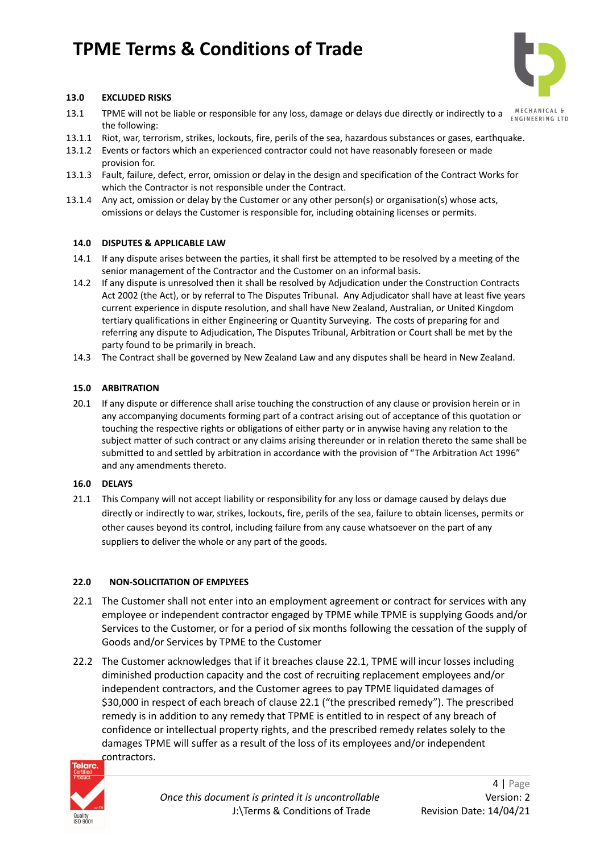

# **13.0 EXCLUDED RISKS**

- 13.1 TPME will not be liable or responsible for any loss, damage or delays due directly or indirectly to a **MECHANICAL &** the following:
- 13.1.1 Riot, war, terrorism, strikes, lockouts, fire, perils of the sea, hazardous substances or gases, earthquake.
- 13.1.2 Events or factors which an experienced contractor could not have reasonably foreseen or made provision for.
- 13.1.3 Fault, failure, defect, error, omission or delay in the design and specification of the Contract Works for which the Contractor is not responsible under the Contract.
- 13.1.4 Any act, omission or delay by the Customer or any other person(s) or organisation(s) whose acts, omissions or delays the Customer is responsible for, including obtaining licenses or permits.

#### **14.0 DISPUTES & APPLICABLE LAW**

- 14.1 If any dispute arises between the parties, it shall first be attempted to be resolved by a meeting of the senior management of the Contractor and the Customer on an informal basis.
- 14.2 If any dispute is unresolved then it shall be resolved by Adjudication under the Construction Contracts Act 2002 (the Act), or by referral to The Disputes Tribunal. Any Adjudicator shall have at least five years current experience in dispute resolution, and shall have New Zealand, Australian, or United Kingdom tertiary qualifications in either Engineering or Quantity Surveying. The costs of preparing for and referring any dispute to Adjudication, The Disputes Tribunal, Arbitration or Court shall be met by the party found to be primarily in breach.
- 14.3 The Contract shall be governed by New Zealand Law and any disputes shall be heard in New Zealand.

#### **15.0 ARBITRATION**

20.1 If any dispute or difference shall arise touching the construction of any clause or provision herein or in any accompanying documents forming part of a contract arising out of acceptance of this quotation or touching the respective rights or obligations of either party or in anywise having any relation to the subject matter of such contract or any claims arising thereunder or in relation thereto the same shall be submitted to and settled by arbitration in accordance with the provision of "The Arbitration Act 1996" and any amendments thereto.

#### **16.0 DELAYS**

21.1 This Company will not accept liability or responsibility for any loss or damage caused by delays due directly or indirectly to war, strikes, lockouts, fire, perils of the sea, failure to obtain licenses, permits or other causes beyond its control, including failure from any cause whatsoever on the part of any suppliers to deliver the whole or any part of the goods.

### **22.0 NON-SOLICITATION OF EMPLYEES**

- 22.1 The Customer shall not enter into an employment agreement or contract for services with any employee or independent contractor engaged by TPME while TPME is supplying Goods and/or Services to the Customer, or for a period of six months following the cessation of the supply of Goods and/or Services by TPME to the Customer
- 22.2 The Customer acknowledges that if it breaches clause 22.1, TPME will incur losses including diminished production capacity and the cost of recruiting replacement employees and/or independent contractors, and the Customer agrees to pay TPME liquidated damages of \$30,000 in respect of each breach of clause 22.1 ("the prescribed remedy"). The prescribed remedy is in addition to any remedy that TPME is entitled to in respect of any breach of confidence or intellectual property rights, and the prescribed remedy relates solely to the damages TPME will suffer as a result of the loss of its employees and/or independent contractors.

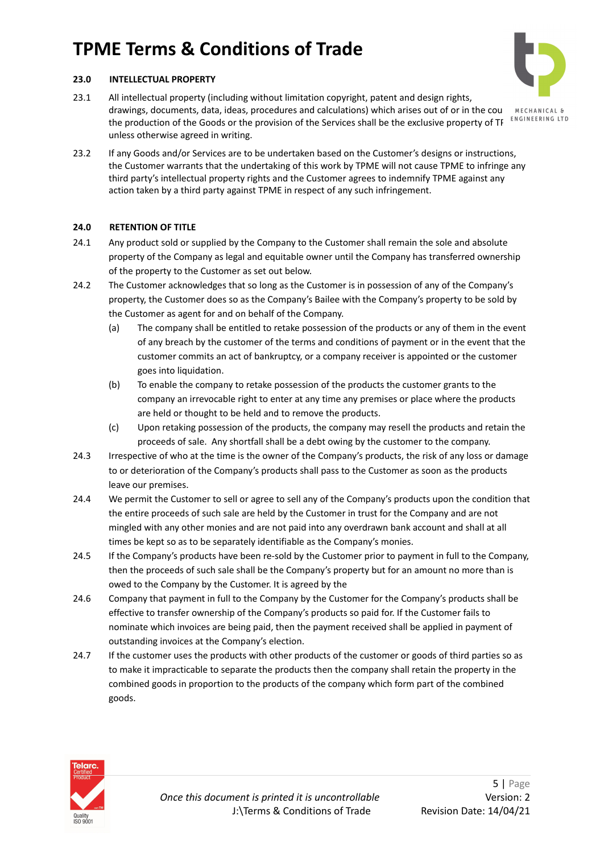# **23.0 INTELLECTUAL PROPERTY**

23.1 All intellectual property (including without limitation copyright, patent and design rights, drawings, documents, data, ideas, procedures and calculations) which arises out of or in the course RECHANICAL & the production of the Goods or the provision of the Services shall be the exclusive property of TF unless otherwise agreed in writing.

action taken by a third party against TPME in respect of any such infringement.



# **24.0 RETENTION OF TITLE**

- 24.1 Any product sold or supplied by the Company to the Customer shall remain the sole and absolute property of the Company as legal and equitable owner until the Company has transferred ownership of the property to the Customer as set out below.
- 24.2 The Customer acknowledges that so long as the Customer is in possession of any of the Company's property, the Customer does so as the Company's Bailee with the Company's property to be sold by the Customer as agent for and on behalf of the Company.
	- (a) The company shall be entitled to retake possession of the products or any of them in the event of any breach by the customer of the terms and conditions of payment or in the event that the customer commits an act of bankruptcy, or a company receiver is appointed or the customer goes into liquidation.
	- (b) To enable the company to retake possession of the products the customer grants to the company an irrevocable right to enter at any time any premises or place where the products are held or thought to be held and to remove the products.
	- (c) Upon retaking possession of the products, the company may resell the products and retain the proceeds of sale. Any shortfall shall be a debt owing by the customer to the company.
- 24.3 Irrespective of who at the time is the owner of the Company's products, the risk of any loss or damage to or deterioration of the Company's products shall pass to the Customer as soon as the products leave our premises.
- 24.4 We permit the Customer to sell or agree to sell any of the Company's products upon the condition that the entire proceeds of such sale are held by the Customer in trust for the Company and are not mingled with any other monies and are not paid into any overdrawn bank account and shall at all times be kept so as to be separately identifiable as the Company's monies.
- 24.5 If the Company's products have been re-sold by the Customer prior to payment in full to the Company, then the proceeds of such sale shall be the Company's property but for an amount no more than is owed to the Company by the Customer. It is agreed by the
- 24.6 Company that payment in full to the Company by the Customer for the Company's products shall be effective to transfer ownership of the Company's products so paid for. If the Customer fails to nominate which invoices are being paid, then the payment received shall be applied in payment of outstanding invoices at the Company's election.
- 24.7 If the customer uses the products with other products of the customer or goods of third parties so as to make it impracticable to separate the products then the company shall retain the property in the combined goods in proportion to the products of the company which form part of the combined goods.